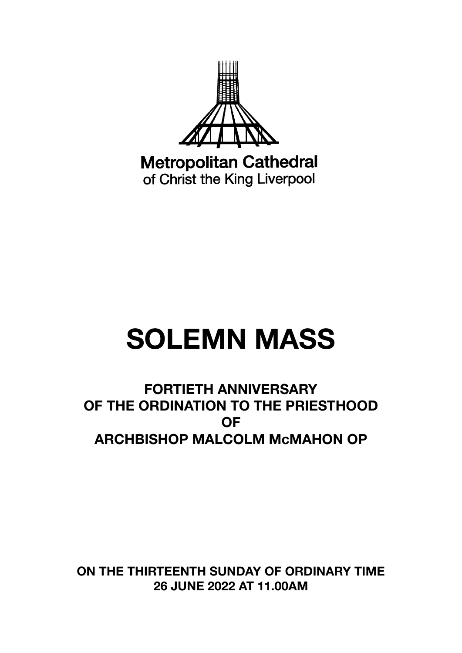

**Metropolitan Cathedral** of Christ the King Liverpool

# **SOLEMN MASS**

# **FORTIETH ANNIVERSARY OF THE ORDINATION TO THE PRIESTHOOD OF ARCHBISHOP MALCOLM McMAHON OP**

**ON THE THIRTEENTH SUNDAY OF ORDINARY TIME 26 JUNE 2022 AT 11.00AM**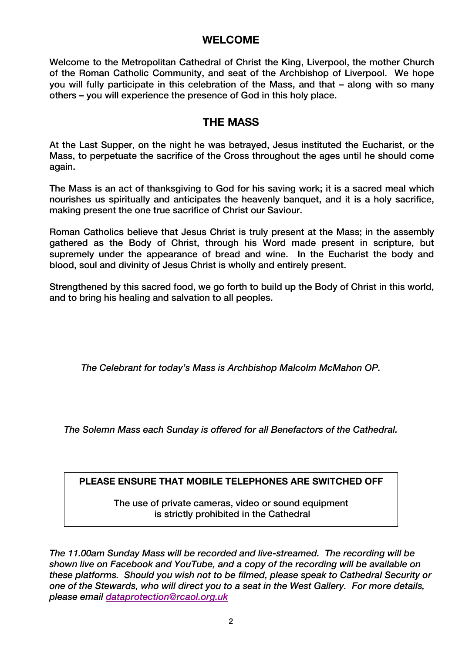#### **WELCOME**

Welcome to the Metropolitan Cathedral of Christ the King, Liverpool, the mother Church of the Roman Catholic Community, and seat of the Archbishop of Liverpool. We hope you will fully participate in this celebration of the Mass, and that – along with so many others – you will experience the presence of God in this holy place.

#### **THE MASS**

At the Last Supper, on the night he was betrayed, Jesus instituted the Eucharist, or the Mass, to perpetuate the sacrifice of the Cross throughout the ages until he should come again.

The Mass is an act of thanksgiving to God for his saving work; it is a sacred meal which nourishes us spiritually and anticipates the heavenly banquet, and it is a holy sacrifice, making present the one true sacrifice of Christ our Saviour.

Roman Catholics believe that Jesus Christ is truly present at the Mass; in the assembly gathered as the Body of Christ, through his Word made present in scripture, but supremely under the appearance of bread and wine. In the Eucharist the body and blood, soul and divinity of Jesus Christ is wholly and entirely present.

Strengthened by this sacred food, we go forth to build up the Body of Christ in this world, and to bring his healing and salvation to all peoples.

*The Celebrant for today's Mass is Archbishop Malcolm McMahon OP.*

*The Solemn Mass each Sunday is offered for all Benefactors of the Cathedral.*

#### **PLEASE ENSURE THAT MOBILE TELEPHONES ARE SWITCHED OFF**

The use of private cameras, video or sound equipment is strictly prohibited in the Cathedral

*The 11.00am Sunday Mass will be recorded and live-streamed. The recording will be shown live on Facebook and YouTube, and a copy of the recording will be available on these platforms. Should you wish not to be filmed, please speak to Cathedral Security or one of the Stewards, who will direct you to a seat in the West Gallery. For more details, please email [dataprotection@rcaol.org.uk](mailto:dataprotection@rcaol.org.uk)*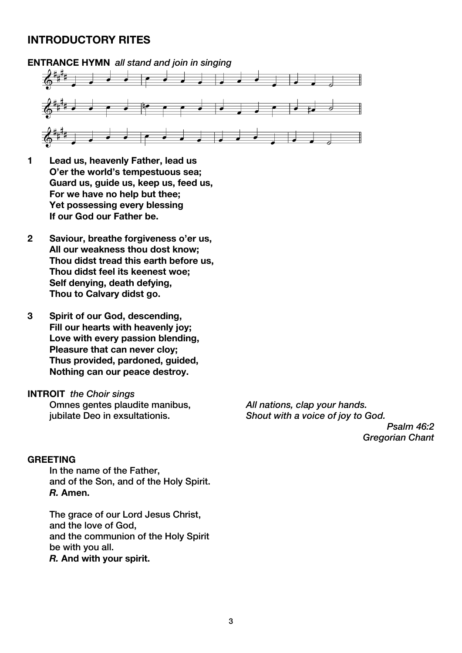## **INTRODUCTORY RITES**



- **1 Lead us, heavenly Father, lead us O'er the world's tempestuous sea; Guard us, guide us, keep us, feed us, For we have no help but thee; Yet possessing every blessing If our God our Father be.**
- **2 Saviour, breathe forgiveness o'er us, All our weakness thou dost know; Thou didst tread this earth before us, Thou didst feel its keenest woe; Self denying, death defying, Thou to Calvary didst go.**
- **3 Spirit of our God, descending, Fill our hearts with heavenly joy; Love with every passion blending, Pleasure that can never cloy; Thus provided, pardoned, guided, Nothing can our peace destroy.**

**INTROIT** *the Choir sings* Omnes gentes plaudite manibus, jubilate Deo in exsultationis.

*All nations, clap your hands. Shout with a voice of joy to God.*

> *Psalm 46:2 Gregorian Chant*

#### **GREETING**

In the name of the Father, and of the Son, and of the Holy Spirit. *R.* **Amen.** 

The grace of our Lord Jesus Christ. and the love of God, and the communion of the Holy Spirit be with you all. *R.* **And with your spirit.**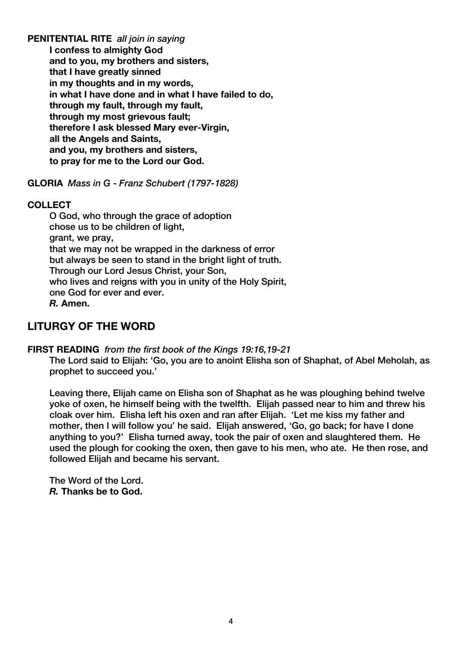**PENITENTIAL RITE** *all join in saying* **I confess to almighty God and to you, my brothers and sisters, that I have greatly sinned in my thoughts and in my words, in what I have done and in what I have failed to do, through my fault, through my fault, through my most grievous fault; therefore I ask blessed Mary ever-Virgin, all the Angels and Saints, and you, my brothers and sisters, to pray for me to the Lord our God.** 

**GLORIA** *Mass in G* - *Franz Schubert (1797-1828)*

#### **COLLECT**

O God, who through the grace of adoption chose us to be children of light, grant, we pray, that we may not be wrapped in the darkness of error but always be seen to stand in the bright light of truth. Through our Lord Jesus Christ, your Son, who lives and reigns with you in unity of the Holy Spirit, one God for ever and ever. *R.* **Amen.**

## **LITURGY OF THE WORD**

#### **FIRST READING** *from the first book of the Kings 19:16,19-21*

The Lord said to Elijah: 'Go, you are to anoint Elisha son of Shaphat, of Abel Meholah, as prophet to succeed you.'

Leaving there, Elijah came on Elisha son of Shaphat as he was ploughing behind twelve yoke of oxen, he himself being with the twelfth. Elijah passed near to him and threw his cloak over him. Elisha left his oxen and ran after Elijah. 'Let me kiss my father and mother, then I will follow you' he said. Elijah answered, 'Go, go back; for have I done anything to you?' Elisha turned away, took the pair of oxen and slaughtered them. He used the plough for cooking the oxen, then gave to his men, who ate. He then rose, and followed Elijah and became his servant.

The Word of the Lord. *R.* **Thanks be to God.**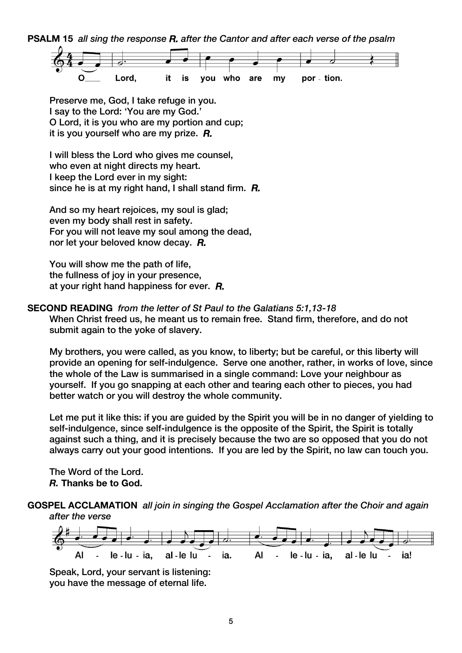**PSALM 15** *all sing the response R. after the Cantor and after each verse of the psalm*



Preserve me, God, I take refuge in you. I say to the Lord: 'You are my God.' O Lord, it is you who are my portion and cup; it is you yourself who are my prize. *R.*

I will bless the Lord who gives me counsel, who even at night directs my heart. I keep the Lord ever in my sight: since he is at my right hand, I shall stand firm. *R.*

And so my heart rejoices, my soul is glad; even my body shall rest in safety. For you will not leave my soul among the dead, nor let your beloved know decay. *R.*

You will show me the path of life, the fullness of joy in your presence, at your right hand happiness for ever. *R.*

#### **SECOND READING** *from the letter of St Paul to the Galatians 5:1,13-18*

When Christ freed us, he meant us to remain free. Stand firm, therefore, and do not submit again to the yoke of slavery.

My brothers, you were called, as you know, to liberty; but be careful, or this liberty will provide an opening for self-indulgence. Serve one another, rather, in works of love, since the whole of the Law is summarised in a single command: Love your neighbour as yourself. If you go snapping at each other and tearing each other to pieces, you had better watch or you will destroy the whole community.

Let me put it like this: if you are guided by the Spirit you will be in no danger of yielding to self-indulgence, since self-indulgence is the opposite of the Spirit, the Spirit is totally against such a thing, and it is precisely because the two are so opposed that you do not always carry out your good intentions. If you are led by the Spirit, no law can touch you.

The Word of the Lord. *R.* **Thanks be to God.**

**GOSPEL ACCLAMATION** *all join in singing the Gospel Acclamation after the Choir and again after the verse*



Speak, Lord, your servant is listening: you have the message of eternal life.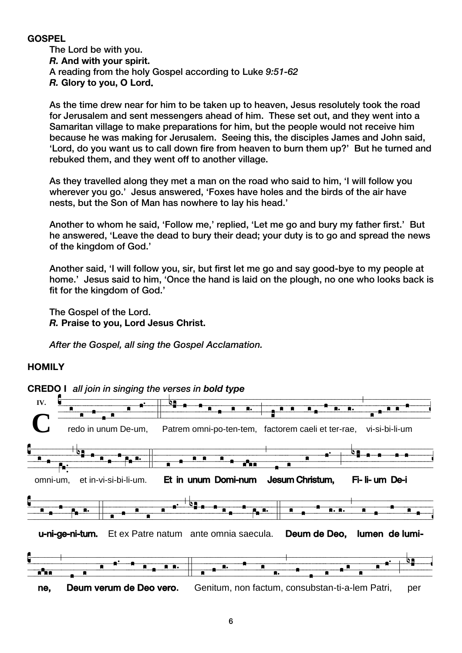#### **GOSPEL**

The Lord be with you. *R.* **And with your spirit.** A reading from the holy Gospel according to Luke *9:51-62 R.* **Glory to you, O Lord**.

As the time drew near for him to be taken up to heaven, Jesus resolutely took the road for Jerusalem and sent messengers ahead of him. These set out, and they went into a Samaritan village to make preparations for him, but the people would not receive him because he was making for Jerusalem. Seeing this, the disciples James and John said, 'Lord, do you want us to call down fire from heaven to burn them up?' But he turned and rebuked them, and they went off to another village.

As they travelled along they met a man on the road who said to him, 'I will follow you wherever you go.' Jesus answered, 'Foxes have holes and the birds of the air have nests, but the Son of Man has nowhere to lay his head.'

Another to whom he said, 'Follow me,' replied, 'Let me go and bury my father first.' But he answered, 'Leave the dead to bury their dead; your duty is to go and spread the news of the kingdom of God.'

Another said, 'I will follow you, sir, but first let me go and say good-bye to my people at home.' Jesus said to him, 'Once the hand is laid on the plough, no one who looks back is fit for the kingdom of God.'

The Gospel of the Lord. *R.* **Praise to you, Lord Jesus Christ.**

*After the Gospel, all sing the Gospel Acclamation.*

#### **HOMILY**



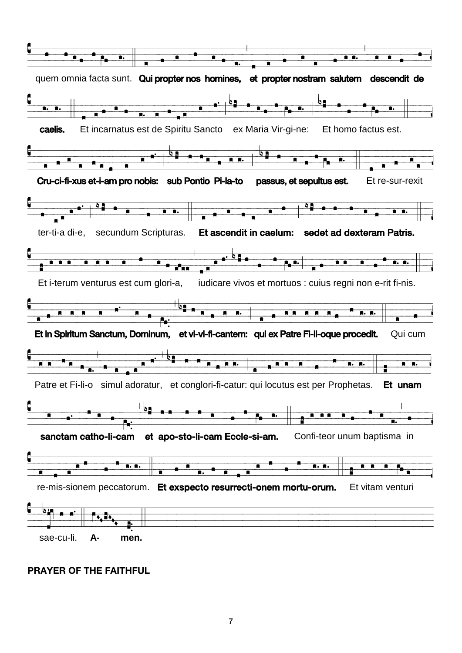

#### **PRAYER OF THE FAITHFUL**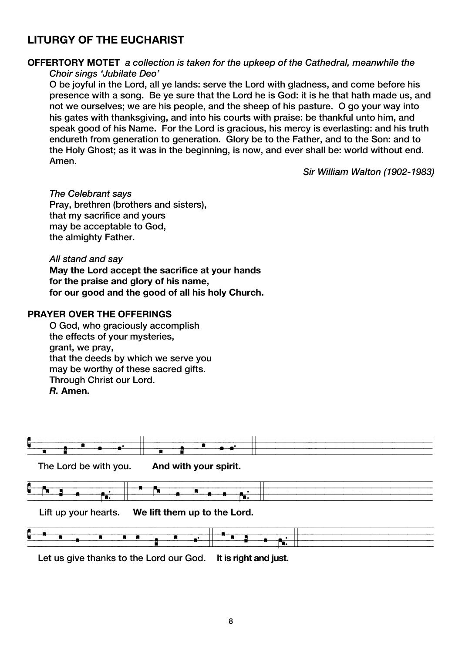# **LITURGY OF THE EUCHARIST**

#### **OFFERTORY MOTET** *a collection is taken for the upkeep of the Cathedral, meanwhile the Choir sings 'Jubilate Deo'*

O be joyful in the Lord, all ye lands: serve the Lord with gladness, and come before his presence with a song. Be ye sure that the Lord he is God: it is he that hath made us, and not we ourselves; we are his people, and the sheep of his pasture. O go your way into his gates with thanksgiving, and into his courts with praise: be thankful unto him, and speak good of his Name. For the Lord is gracious, his mercy is everlasting: and his truth endureth from generation to generation. Glory be to the Father, and to the Son: and to the Holy Ghost; as it was in the beginning, is now, and ever shall be: world without end. Amen.

*Sir William Walton (1902-1983)*

*The Celebrant says* Pray, brethren (brothers and sisters), that my sacrifice and yours may be acceptable to God, the almighty Father.

*All stand and say*

**May the Lord accept the sacrifice at your hands for the praise and glory of his name, for our good and the good of all his holy Church.**

#### **PRAYER OVER THE OFFERINGS**

O God, who graciously accomplish the effects of your mysteries, grant, we pray, that the deeds by which we serve you may be worthy of these sacred gifts. Through Christ our Lord. *R.* **Amen.**



Let us give thanks to the Lord our God. **It is right and just.**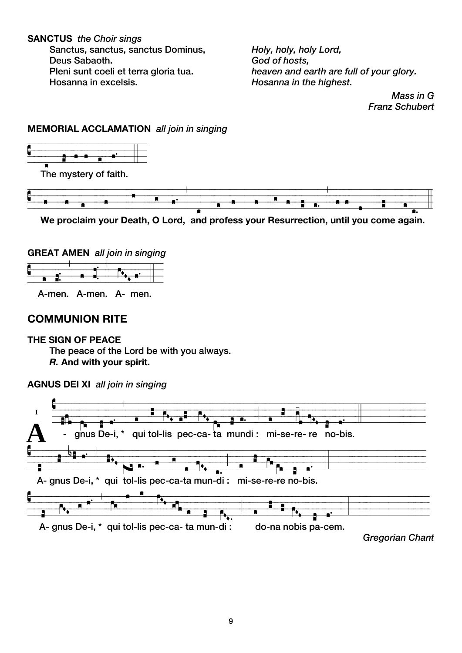#### **SANCTUS** *the Choir sings*

Sanctus, sanctus, sanctus Dominus, Deus Sabaoth. Pleni sunt coeli et terra gloria tua. Hosanna in excelsis.

*Holy, holy, holy Lord, God of hosts, heaven and earth are full of your glory. Hosanna in the highest.*

> *Mass in G Franz Schubert*

#### **MEMORIAL ACCLAMATION** *all join in singing*



**We proclaim your Death, O Lord, and profess your Resurrection, until you come again.**

# **GREAT AMEN** *all join in singing*

A-men. A-men. A- men.

#### **COMMUNION RITE**

#### **THE SIGN OF PEACE**

The peace of the Lord be with you always. *R.* **And with your spirit.** 

**AGNUS DEI XI** *all join in singing*

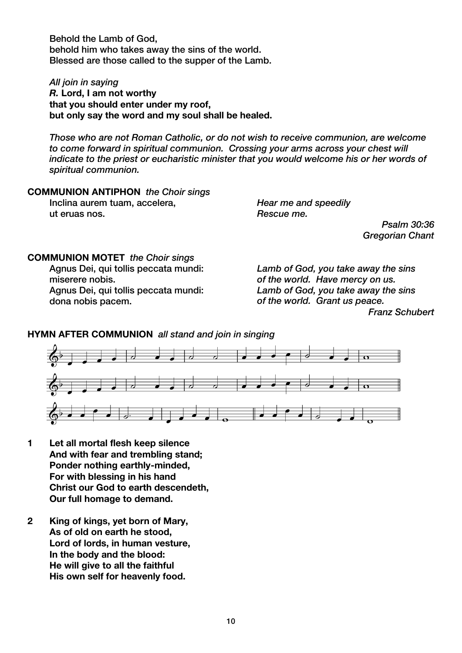Behold the Lamb of God, behold him who takes away the sins of the world. Blessed are those called to the supper of the Lamb.

*All join in saying R.* **Lord, I am not worthy that you should enter under my roof, but only say the word and my soul shall be healed.** 

*Those who are not Roman Catholic, or do not wish to receive communion, are welcome to come forward in spiritual communion. Crossing your arms across your chest will indicate to the priest or eucharistic minister that you would welcome his or her words of spiritual communion.*

#### **COMMUNION ANTIPHON** *the Choir sings* Inclina aurem tuam, accelera, ut eruas nos.

*Hear me and speedily Rescue me.*

> *Psalm 30:36 Gregorian Chant*

**COMMUNION MOTET** *the Choir sings* Agnus Dei, qui tollis peccata mundi: miserere nobis. Agnus Dei, qui tollis peccata mundi: dona nobis pacem.

*Lamb of God, you take away the sins of the world. Have mercy on us. Lamb of God, you take away the sins of the world. Grant us peace.*

*Franz Schubert*



#### **HYMN AFTER COMMUNION** *all stand and join in singing*

- **1 Let all mortal flesh keep silence And with fear and trembling stand; Ponder nothing earthly-minded, For with blessing in his hand Christ our God to earth descendeth, Our full homage to demand.**
- **2 King of kings, yet born of Mary, As of old on earth he stood, Lord of lords, in human vesture, In the body and the blood: He will give to all the faithful His own self for heavenly food.**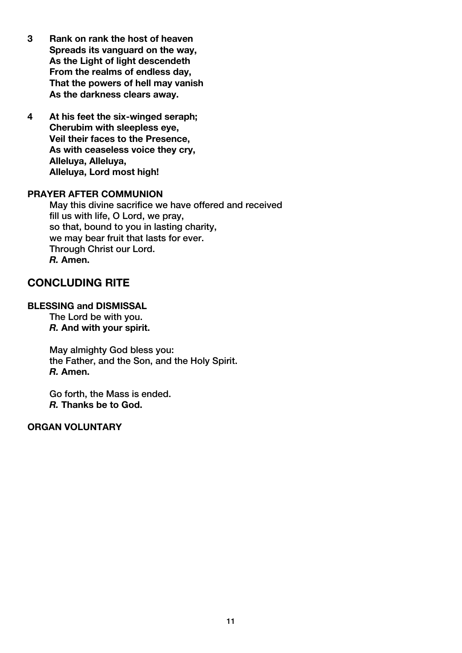- **3 Rank on rank the host of heaven Spreads its vanguard on the way, As the Light of light descendeth From the realms of endless day, That the powers of hell may vanish As the darkness clears away.**
- **4 At his feet the six-winged seraph; Cherubim with sleepless eye, Veil their faces to the Presence, As with ceaseless voice they cry, Alleluya, Alleluya, Alleluya, Lord most high!**

#### **PRAYER AFTER COMMUNION**

May this divine sacrifice we have offered and received fill us with life, O Lord, we pray, so that, bound to you in lasting charity, we may bear fruit that lasts for ever. Through Christ our Lord. *R.* **Amen.**

#### **CONCLUDING RITE**

#### **BLESSING and DISMISSAL**

The Lord be with you. *R.* **And with your spirit.** 

May almighty God bless you: the Father, and the Son, and the Holy Spirit. *R.* **Amen.** 

Go forth, the Mass is ended. *R.* **Thanks be to God.** 

#### **ORGAN VOLUNTARY**